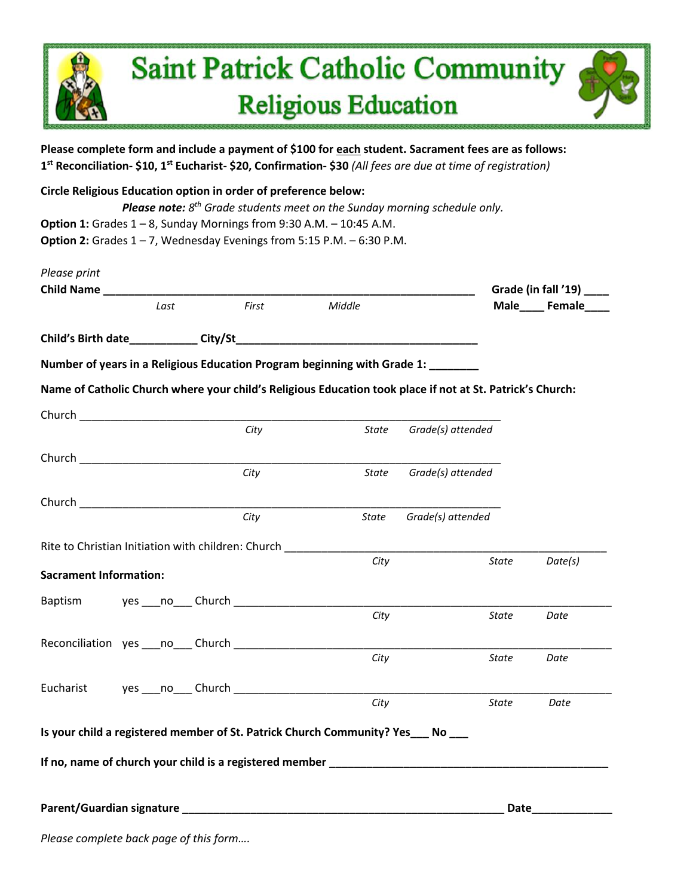## **Saint Patrick Catholic Community Religious Education**

**Please complete form and include a payment of \$100 for each student. Sacrament fees are as follows: 1 st Reconciliation- \$10, 1st Eucharist- \$20, Confirmation- \$30** *(All fees are due at time of registration)*

**Circle Religious Education option in order of preference below:**  *Please note: 8 th Grade students meet on the Sunday morning schedule only.* **Option 1:** Grades 1 – 8, Sunday Mornings from 9:30 A.M. – 10:45 A.M. **Option 2:** Grades 1 – 7, Wednesday Evenings from 5:15 P.M. – 6:30 P.M.

| Please print<br>Child Name    |      |                                                                                                           |                      |                   |              | Grade (in fall '19) _____ |
|-------------------------------|------|-----------------------------------------------------------------------------------------------------------|----------------------|-------------------|--------------|---------------------------|
|                               | Last | First                                                                                                     | Middle               |                   |              | Male_____ Female____      |
|                               |      |                                                                                                           |                      |                   |              |                           |
|                               |      | Number of years in a Religious Education Program beginning with Grade 1: _______                          |                      |                   |              |                           |
|                               |      | Name of Catholic Church where your child's Religious Education took place if not at St. Patrick's Church: |                      |                   |              |                           |
|                               |      |                                                                                                           |                      |                   |              |                           |
|                               |      | City                                                                                                      | State                | Grade(s) attended |              |                           |
|                               |      |                                                                                                           |                      |                   |              |                           |
|                               |      | City                                                                                                      | State                | Grade(s) attended |              |                           |
|                               |      | City                                                                                                      | State                | Grade(s) attended |              |                           |
|                               |      |                                                                                                           |                      |                   |              |                           |
|                               |      | Rite to Christian Initiation with children: Church                                                        | City                 |                   | <b>State</b> | Date(s)                   |
| <b>Sacrament Information:</b> |      |                                                                                                           |                      |                   |              |                           |
| Baptism                       |      | yes ____no____ Church ______________                                                                      |                      |                   |              |                           |
|                               |      |                                                                                                           | City                 |                   | <b>State</b> | Date                      |
|                               |      | Reconciliation yes no Church                                                                              |                      |                   |              |                           |
|                               |      |                                                                                                           | City                 |                   | <b>State</b> | Date                      |
|                               |      | Eucharist yes no Church                                                                                   |                      |                   |              |                           |
|                               |      |                                                                                                           | City                 |                   | <b>State</b> | Date                      |
|                               |      | Is your child a registered member of St. Patrick Church Community? Yes___ No ___                          |                      |                   |              |                           |
|                               |      |                                                                                                           |                      |                   |              |                           |
|                               |      |                                                                                                           | <b>Date Security</b> |                   |              |                           |

*Please complete back page of this form….*